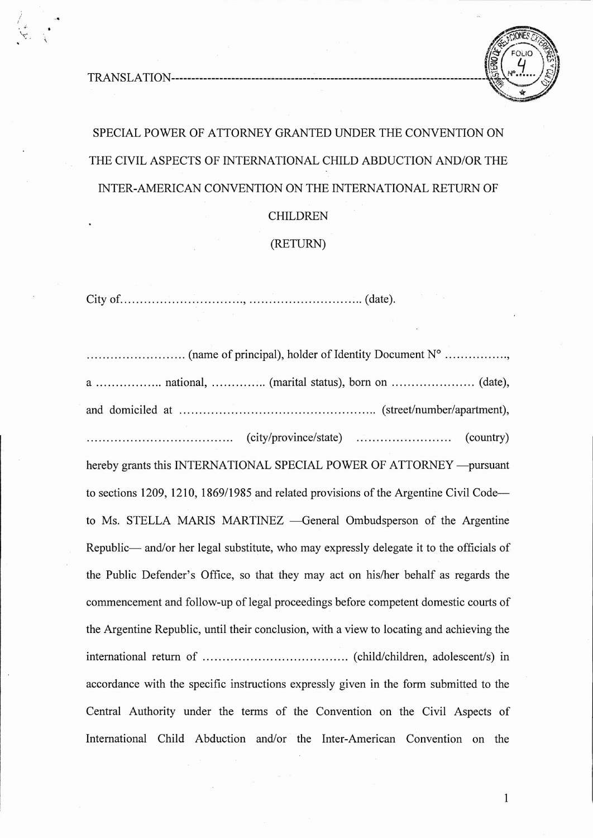I ;'  $\mathcal{F}$ .



## SPECIAL POWER OF ATTORNEY GRANTED UNDER THE CONVENTION ON THE CIVIL ASPECTS OF INTERNATIONAL CHILD ABDUCTION AND/OR THE INTER-AMERICAN CONVENTION ON THE INTERNATIONAL RETURN OF

CHILDREN

(RETURN)

City of. , (date).

...... (name of principal), holder ofIdentity Document N° , a national, (marital status), born on (date), and domiciled at  $\dots\dots\dots\dots\dots\dots\dots\dots\dots\dots\dots\dots\dots\dots\dots\dots$  (street/number/apartment), (city/province/state) (country) hereby grants this INTERNATIONAL SPECIAL POWER OF ATTORNEY -- pursuant to sections 1209, 1210, 1869/1985 and related provisions of the Argentine Civil Codeto Ms. STELLA MARIS MARTINEZ - General Ombudsperson of the Argentine Republic— and/or her legal substitute, who may expressly delegate it to the officials of the Public Defender 's Office, so that they may act on his/her behalf as regards the commencement and follow-up of legal proceedings before competent domestic courts of the Argentine Republic, until their conclusion, with a view to locating and achieving the international return of .. (child/children , adolescent/s) in accordance with the specific instructions expressly given in the form submitted to the Central Authority under the terms of the Convention on the Civil Aspects of International Child Abduction and/or the Inter-American Convention on the

1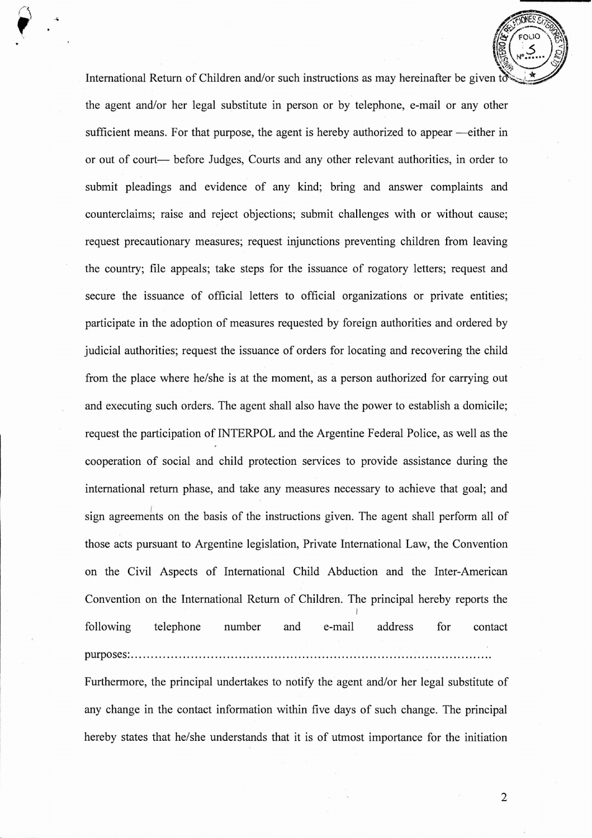International Return of Children and/or such instructions as may hereinafter be given to the agent and/or her legal substitute in person or by telephone, e-mail or any other sufficient means. For that purpose, the agent is hereby authorized to appear —either in or out of court— before Judges, Courts and any other relevant authorities, in order to submit pleadings and evidence of any kind; bring and answer complaints and counterclaims; raise and reject objections; submit challenges with or without cause; request precautionary measures; request injunctions preventing children from leaving the country; file appeals; take steps for the issuance of rogatory letters; request and secure the issuance of official letters to official organizations or private entities; participate in the adoption of measures requested by foreign authorities and ordered by judicial authorities; request the issuance of orders for locating and recovering the child from the place where he/she is at the moment, as a person authorized for carrying out and executing such orders. The agent shall also have the power to establish a domicile; request the participation of INTERPOL and the Argentine Federal Police, as well as the cooperation of social and child protection services to provide assistance during the international return phase, and take any measures necessary to achieve that goal; and sign agreements on the basis of the instructions given. The agent shall perform all of those acts pursuant to Argentine legislation, Private International Law, the Convention on the Civil Aspects of International Child Abduction and the Inter-American Convention on the International Return of Children. The principal hereby reports the I following telephone number and e-mail address for contact purposes: . Furthermore, the principal undertakes to notify the agent and/or her legal substitute of any change in the contact information within five days of such change. The principal

hereby states that he/she understands that it is of utmost importance for the initiation

2

**SEPTEMBER 276** 

 $\left(\begin{matrix} 1 & 1 \\ 1 & 1 \end{matrix}\right)$ 

සි $^{\prime}$